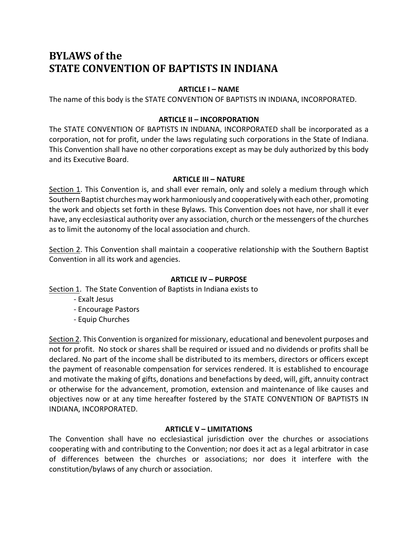# **BYLAWS** of the **STATE CONVENTION OF BAPTISTS IN INDIANA**

## **ARTICLE I – NAME**

The name of this body is the STATE CONVENTION OF BAPTISTS IN INDIANA, INCORPORATED.

#### **ARTICLE II – INCORPORATION**

The STATE CONVENTION OF BAPTISTS IN INDIANA, INCORPORATED shall be incorporated as a corporation, not for profit, under the laws regulating such corporations in the State of Indiana. This Convention shall have no other corporations except as may be duly authorized by this body and its Executive Board.

#### **ARTICLE III – NATURE**

Section 1. This Convention is, and shall ever remain, only and solely a medium through which Southern Baptist churches may work harmoniously and cooperatively with each other, promoting the work and objects set forth in these Bylaws. This Convention does not have, nor shall it ever have, any ecclesiastical authority over any association, church or the messengers of the churches as to limit the autonomy of the local association and church.

Section 2. This Convention shall maintain a cooperative relationship with the Southern Baptist Convention in all its work and agencies.

#### **ARTICLE IV – PURPOSE**

Section 1. The State Convention of Baptists in Indiana exists to

- Exalt Jesus
- Encourage Pastors
- Equip Churches

Section 2. This Convention is organized for missionary, educational and benevolent purposes and not for profit. No stock or shares shall be required or issued and no dividends or profits shall be declared. No part of the income shall be distributed to its members, directors or officers except the payment of reasonable compensation for services rendered. It is established to encourage and motivate the making of gifts, donations and benefactions by deed, will, gift, annuity contract or otherwise for the advancement, promotion, extension and maintenance of like causes and objectives now or at any time hereafter fostered by the STATE CONVENTION OF BAPTISTS IN INDIANA, INCORPORATED.

#### **ARTICLE V – LIMITATIONS**

The Convention shall have no ecclesiastical jurisdiction over the churches or associations cooperating with and contributing to the Convention; nor does it act as a legal arbitrator in case of differences between the churches or associations; nor does it interfere with the constitution/bylaws of any church or association.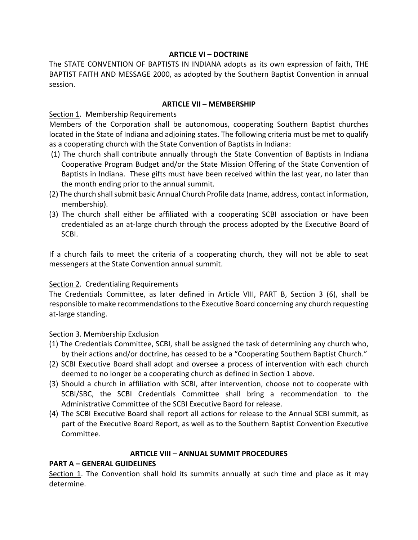#### **ARTICLE VI – DOCTRINE**

The STATE CONVENTION OF BAPTISTS IN INDIANA adopts as its own expression of faith, THE BAPTIST FAITH AND MESSAGE 2000, as adopted by the Southern Baptist Convention in annual session.

#### **ARTICLE VII – MEMBERSHIP**

Section 1. Membership Requirements

Members of the Corporation shall be autonomous, cooperating Southern Baptist churches located in the State of Indiana and adjoining states. The following criteria must be met to qualify as a cooperating church with the State Convention of Baptists in Indiana:

- (1) The church shall contribute annually through the State Convention of Baptists in Indiana Cooperative Program Budget and/or the State Mission Offering of the State Convention of Baptists in Indiana. These gifts must have been received within the last year, no later than the month ending prior to the annual summit.
- (2) The church shall submit basic Annual Church Profile data (name, address, contact information, membership).
- (3) The church shall either be affiliated with a cooperating SCBI association or have been credentialed as an at-large church through the process adopted by the Executive Board of SCBI.

If a church fails to meet the criteria of a cooperating church, they will not be able to seat messengers at the State Convention annual summit.

#### Section 2. Credentialing Requirements

The Credentials Committee, as later defined in Article VIII, PART B, Section 3 (6), shall be responsible to make recommendations to the Executive Board concerning any church requesting at-large standing.

Section 3. Membership Exclusion

- (1) The Credentials Committee, SCBI, shall be assigned the task of determining any church who, by their actions and/or doctrine, has ceased to be a "Cooperating Southern Baptist Church."
- (2) SCBI Executive Board shall adopt and oversee a process of intervention with each church deemed to no longer be a cooperating church as defined in Section 1 above.
- (3) Should a church in affiliation with SCBI, after intervention, choose not to cooperate with SCBI/SBC, the SCBI Credentials Committee shall bring a recommendation to the Administrative Committee of the SCBI Executive Baord for release.
- (4) The SCBI Executive Board shall report all actions for release to the Annual SCBI summit, as part of the Executive Board Report, as well as to the Southern Baptist Convention Executive Committee.

# **ARTICLE VIII – ANNUAL SUMMIT PROCEDURES**

# **PART A – GENERAL GUIDELINES**

Section 1. The Convention shall hold its summits annually at such time and place as it may determine.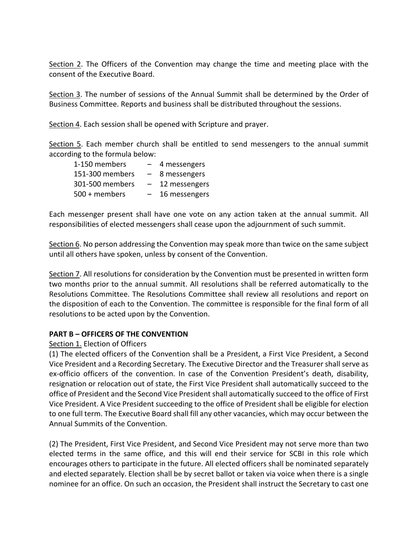Section 2. The Officers of the Convention may change the time and meeting place with the consent of the Executive Board.

Section 3. The number of sessions of the Annual Summit shall be determined by the Order of Business Committee. Reports and business shall be distributed throughout the sessions.

Section 4. Each session shall be opened with Scripture and prayer.

Section 5. Each member church shall be entitled to send messengers to the annual summit according to the formula below:

| 1-150 members   | $-$                      | 4 messengers  |
|-----------------|--------------------------|---------------|
| 151-300 members | $-$                      | 8 messengers  |
| 301-500 members | $\overline{\phantom{0}}$ | 12 messengers |
| 500 + members   | $-$                      | 16 messengers |

Each messenger present shall have one vote on any action taken at the annual summit. All responsibilities of elected messengers shall cease upon the adjournment of such summit.

Section 6. No person addressing the Convention may speak more than twice on the same subject until all others have spoken, unless by consent of the Convention.

Section 7. All resolutions for consideration by the Convention must be presented in written form two months prior to the annual summit. All resolutions shall be referred automatically to the Resolutions Committee. The Resolutions Committee shall review all resolutions and report on the disposition of each to the Convention. The committee is responsible for the final form of all resolutions to be acted upon by the Convention.

#### **PART B – OFFICERS OF THE CONVENTION**

#### Section 1. Election of Officers

(1) The elected officers of the Convention shall be a President, a First Vice President, a Second Vice President and a Recording Secretary. The Executive Director and the Treasurer shall serve as ex-officio officers of the convention. In case of the Convention President's death, disability, resignation or relocation out of state, the First Vice President shall automatically succeed to the office of President and the Second Vice President shall automatically succeed to the office of First Vice President. A Vice President succeeding to the office of President shall be eligible for election to one full term. The Executive Board shall fill any other vacancies, which may occur between the Annual Summits of the Convention.

(2) The President, First Vice President, and Second Vice President may not serve more than two elected terms in the same office, and this will end their service for SCBI in this role which encourages others to participate in the future. All elected officers shall be nominated separately and elected separately. Election shall be by secret ballot or taken via voice when there is a single nominee for an office. On such an occasion, the President shall instruct the Secretary to cast one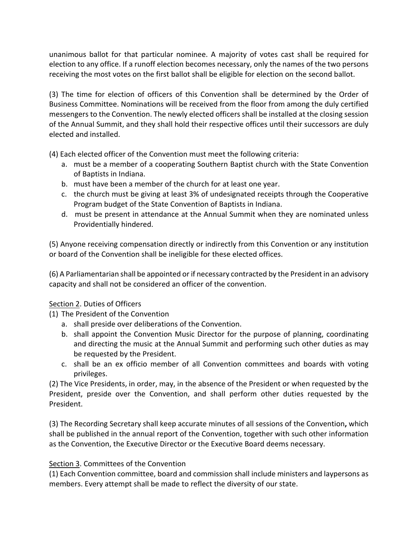unanimous ballot for that particular nominee. A majority of votes cast shall be required for election to any office. If a runoff election becomes necessary, only the names of the two persons receiving the most votes on the first ballot shall be eligible for election on the second ballot.

(3) The time for election of officers of this Convention shall be determined by the Order of Business Committee. Nominations will be received from the floor from among the duly certified messengers to the Convention. The newly elected officers shall be installed at the closing session of the Annual Summit, and they shall hold their respective offices until their successors are duly elected and installed.

(4) Each elected officer of the Convention must meet the following criteria:

- a. must be a member of a cooperating Southern Baptist church with the State Convention of Baptists in Indiana.
- b. must have been a member of the church for at least one year.
- c. the church must be giving at least 3% of undesignated receipts through the Cooperative Program budget of the State Convention of Baptists in Indiana.
- d. must be present in attendance at the Annual Summit when they are nominated unless Providentially hindered.

(5) Anyone receiving compensation directly or indirectly from this Convention or any institution or board of the Convention shall be ineligible for these elected offices.

(6) A Parliamentarian shall be appointed or if necessary contracted by the President in an advisory capacity and shall not be considered an officer of the convention.

# Section 2. Duties of Officers

- (1) The President of the Convention
	- a. shall preside over deliberations of the Convention.
	- b. shall appoint the Convention Music Director for the purpose of planning, coordinating and directing the music at the Annual Summit and performing such other duties as may be requested by the President.
	- c. shall be an ex officio member of all Convention committees and boards with voting privileges.

(2) The Vice Presidents, in order, may, in the absence of the President or when requested by the President, preside over the Convention, and shall perform other duties requested by the President.

(3) The Recording Secretary shall keep accurate minutes of all sessions of the Convention**,** which shall be published in the annual report of the Convention, together with such other information as the Convention, the Executive Director or the Executive Board deems necessary.

# Section 3. Committees of the Convention

(1) Each Convention committee, board and commission shall include ministers and laypersons as members. Every attempt shall be made to reflect the diversity of our state.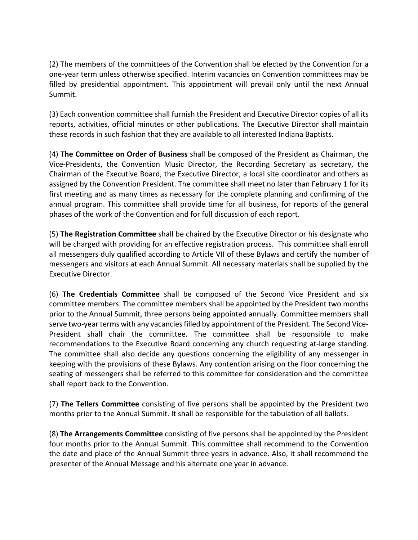(2) The members of the committees of the Convention shall be elected by the Convention for a one-year term unless otherwise specified. Interim vacancies on Convention committees may be filled by presidential appointment. This appointment will prevail only until the next Annual Summit.

(3) Each convention committee shall furnish the President and Executive Director copies of all its reports, activities, official minutes or other publications. The Executive Director shall maintain these records in such fashion that they are available to all interested Indiana Baptists.

(4) **The Committee on Order of Business** shall be composed of the President as Chairman, the Vice-Presidents, the Convention Music Director, the Recording Secretary as secretary, the Chairman of the Executive Board, the Executive Director, a local site coordinator and others as assigned by the Convention President. The committee shall meet no later than February 1 for its first meeting and as many times as necessary for the complete planning and confirming of the annual program. This committee shall provide time for all business, for reports of the general phases of the work of the Convention and for full discussion of each report.

(5) **The Registration Committee** shall be chaired by the Executive Director or his designate who will be charged with providing for an effective registration process. This committee shall enroll all messengers duly qualified according to Article VII of these Bylaws and certify the number of messengers and visitors at each Annual Summit. All necessary materials shall be supplied by the Executive Director.

(6) **The Credentials Committee** shall be composed of the Second Vice President and six committee members. The committee members shall be appointed by the President two months prior to the Annual Summit, three persons being appointed annually. Committee members shall serve two-year terms with any vacancies filled by appointment of the President. The Second Vice-President shall chair the committee. The committee shall be responsible to make recommendations to the Executive Board concerning any church requesting at-large standing. The committee shall also decide any questions concerning the eligibility of any messenger in keeping with the provisions of these Bylaws. Any contention arising on the floor concerning the seating of messengers shall be referred to this committee for consideration and the committee shall report back to the Convention.

(7) **The Tellers Committee** consisting of five persons shall be appointed by the President two months prior to the Annual Summit. It shall be responsible for the tabulation of all ballots.

(8) **The Arrangements Committee** consisting of five persons shall be appointed by the President four months prior to the Annual Summit. This committee shall recommend to the Convention the date and place of the Annual Summit three years in advance. Also, it shall recommend the presenter of the Annual Message and his alternate one year in advance.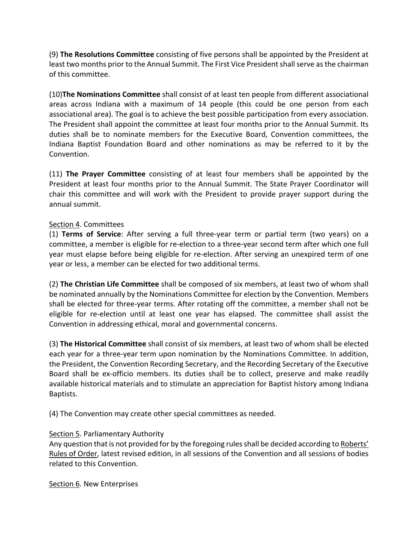(9) **The Resolutions Committee** consisting of five persons shall be appointed by the President at least two months prior to the Annual Summit. The First Vice President shall serve as the chairman of this committee.

(10)**The Nominations Committee** shall consist of at least ten people from different associational areas across Indiana with a maximum of 14 people (this could be one person from each associational area). The goal is to achieve the best possible participation from every association. The President shall appoint the committee at least four months prior to the Annual Summit. Its duties shall be to nominate members for the Executive Board, Convention committees, the Indiana Baptist Foundation Board and other nominations as may be referred to it by the Convention.

(11) **The Prayer Committee** consisting of at least four members shall be appointed by the President at least four months prior to the Annual Summit. The State Prayer Coordinator will chair this committee and will work with the President to provide prayer support during the annual summit.

# Section 4. Committees

(1) **Terms of Service**: After serving a full three-year term or partial term (two years) on a committee, a member is eligible for re-election to a three-year second term after which one full year must elapse before being eligible for re-election. After serving an unexpired term of one year or less, a member can be elected for two additional terms.

(2) **The Christian Life Committee** shall be composed of six members, at least two of whom shall be nominated annually by the Nominations Committee for election by the Convention. Members shall be elected for three-year terms. After rotating off the committee, a member shall not be eligible for re-election until at least one year has elapsed. The committee shall assist the Convention in addressing ethical, moral and governmental concerns.

(3) **The Historical Committee** shall consist of six members, at least two of whom shall be elected each year for a three-year term upon nomination by the Nominations Committee. In addition, the President, the Convention Recording Secretary, and the Recording Secretary of the Executive Board shall be ex-officio members. Its duties shall be to collect, preserve and make readily available historical materials and to stimulate an appreciation for Baptist history among Indiana Baptists.

(4) The Convention may create other special committees as needed.

# Section 5. Parliamentary Authority

Any question that is not provided for by the foregoing rules shall be decided according to Roberts' Rules of Order, latest revised edition, in all sessions of the Convention and all sessions of bodies related to this Convention.

Section 6. New Enterprises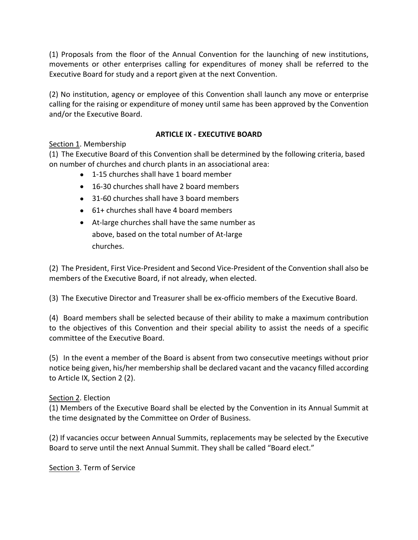(1) Proposals from the floor of the Annual Convention for the launching of new institutions, movements or other enterprises calling for expenditures of money shall be referred to the Executive Board for study and a report given at the next Convention.

(2) No institution, agency or employee of this Convention shall launch any move or enterprise calling for the raising or expenditure of money until same has been approved by the Convention and/or the Executive Board.

# **ARTICLE IX - EXECUTIVE BOARD**

# Section 1. Membership

(1) The Executive Board of this Convention shall be determined by the following criteria, based on number of churches and church plants in an associational area:

- 1-15 churches shall have 1 board member
- 16-30 churches shall have 2 board members
- 31-60 churches shall have 3 board members
- 61+ churches shall have 4 board members
- At-large churches shall have the same number as above, based on the total number of At-large churches.

(2) The President, First Vice-President and Second Vice-President of the Convention shall also be members of the Executive Board, if not already, when elected.

(3) The Executive Director and Treasurer shall be ex-officio members of the Executive Board.

(4) Board members shall be selected because of their ability to make a maximum contribution to the objectives of this Convention and their special ability to assist the needs of a specific committee of the Executive Board.

(5) In the event a member of the Board is absent from two consecutive meetings without prior notice being given, his/her membership shall be declared vacant and the vacancy filled according to Article IX, Section 2 (2).

# Section 2. Election

(1) Members of the Executive Board shall be elected by the Convention in its Annual Summit at the time designated by the Committee on Order of Business.

(2) If vacancies occur between Annual Summits, replacements may be selected by the Executive Board to serve until the next Annual Summit. They shall be called "Board elect."

Section 3. Term of Service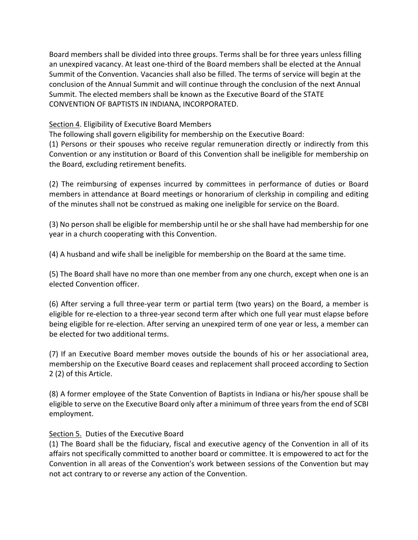Board members shall be divided into three groups. Terms shall be for three years unless filling an unexpired vacancy. At least one-third of the Board members shall be elected at the Annual Summit of the Convention. Vacancies shall also be filled. The terms of service will begin at the conclusion of the Annual Summit and will continue through the conclusion of the next Annual Summit. The elected members shall be known as the Executive Board of the STATE CONVENTION OF BAPTISTS IN INDIANA, INCORPORATED.

Section 4. Eligibility of Executive Board Members

The following shall govern eligibility for membership on the Executive Board:

(1) Persons or their spouses who receive regular remuneration directly or indirectly from this Convention or any institution or Board of this Convention shall be ineligible for membership on the Board, excluding retirement benefits.

(2) The reimbursing of expenses incurred by committees in performance of duties or Board members in attendance at Board meetings or honorarium of clerkship in compiling and editing of the minutes shall not be construed as making one ineligible for service on the Board.

(3) No person shall be eligible for membership until he or she shall have had membership for one year in a church cooperating with this Convention.

(4) A husband and wife shall be ineligible for membership on the Board at the same time.

(5) The Board shall have no more than one member from any one church, except when one is an elected Convention officer.

(6) After serving a full three-year term or partial term (two years) on the Board, a member is eligible for re-election to a three-year second term after which one full year must elapse before being eligible for re-election. After serving an unexpired term of one year or less, a member can be elected for two additional terms.

(7) If an Executive Board member moves outside the bounds of his or her associational area, membership on the Executive Board ceases and replacement shall proceed according to Section 2 (2) of this Article.

(8) A former employee of the State Convention of Baptists in Indiana or his/her spouse shall be eligible to serve on the Executive Board only after a minimum of three years from the end of SCBI employment.

# Section 5. Duties of the Executive Board

(1) The Board shall be the fiduciary, fiscal and executive agency of the Convention in all of its affairs not specifically committed to another board or committee. It is empowered to act for the Convention in all areas of the Convention's work between sessions of the Convention but may not act contrary to or reverse any action of the Convention.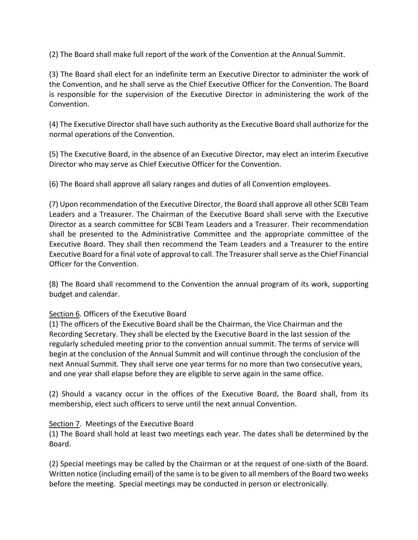(2) The Board shall make full report of the work of the Convention at the Annual Summit.

(3) The Board shall elect for an indefinite term an Executive Director to administer the work of the Convention, and he shall serve as the Chief Executive Officer for the Convention. The Board is responsible for the supervision of the Executive Director in administering the work of the Convention.

(4) The Executive Director shall have such authority as the Executive Board shall authorize for the normal operations of the Convention.

(5) The Executive Board, in the absence of an Executive Director, may elect an interim Executive Director who may serve as Chief Executive Officer for the Convention.

(6) The Board shall approve all salary ranges and duties of all Convention employees.

(7) Upon recommendation of the Executive Director, the Board shall approve all other SCBI Team Leaders and a Treasurer. The Chairman of the Executive Board shall serve with the Executive Director as a search committee for SCBI Team Leaders and a Treasurer. Their recommendation shall be presented to the Administrative Committee and the appropriate committee of the Executive Board. They shall then recommend the Team Leaders and a Treasurer to the entire Executive Board for a final vote of approval to call. The Treasurer shall serve as the Chief Financial Officer for the Convention.

(8) The Board shall recommend to the Convention the annual program of its work, supporting budget and calendar.

# Section 6. Officers of the Executive Board

(1) The officers of the Executive Board shall be the Chairman, the Vice Chairman and the Recording Secretary. They shall be elected by the Executive Board in the last session of the regularly scheduled meeting prior to the convention annual summit. The terms of service will begin at the conclusion of the Annual Summit and will continue through the conclusion of the next Annual Summit. They shall serve one year terms for no more than two consecutive years, and one year shall elapse before they are eligible to serve again in the same office.

(2) Should a vacancy occur in the offices of the Executive Board, the Board shall, from its membership, elect such officers to serve until the next annual Convention.

# Section 7. Meetings of the Executive Board

(1) The Board shall hold at least two meetings each year. The dates shall be determined by the Board.

(2) Special meetings may be called by the Chairman or at the request of one-sixth of the Board. Written notice (including email) of the same is to be given to all members of the Board two weeks before the meeting. Special meetings may be conducted in person or electronically.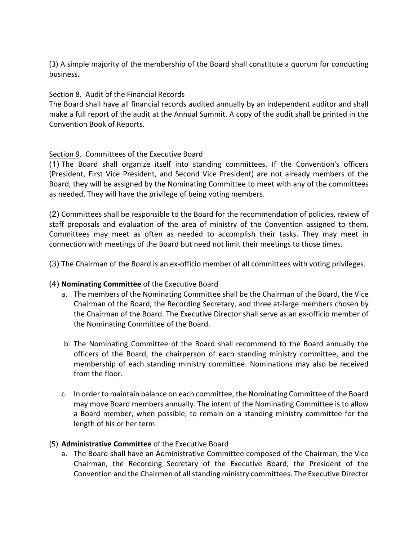(3) A simple majority of the membership of the Board shall constitute a quorum for conducting business.

## Section 8. Audit of the Financial Records

The Board shall have all financial records audited annually by an independent auditor and shall make a full report of the audit at the Annual Summit. A copy of the audit shall be printed in the Convention Book of Reports.

## Section 9. Committees of the Executive Board

(1) The Board shall organize itself into standing committees. If the Convention's officers (President, First Vice President, and Second Vice President) are not already members of the Board, they will be assigned by the Nominating Committee to meet with any of the committees as needed. They will have the privilege of being voting members.

(2) Committees shall be responsible to the Board for the recommendation of policies, review of staff proposals and evaluation of the area of ministry of the Convention assigned to them. Committees may meet as often as needed to accomplish their tasks. They may meet in connection with meetings of the Board but need not limit their meetings to those times.

(3) The Chairman of the Board is an ex-officio member of all committees with voting privileges.

#### (4) **Nominating Committee** of the Executive Board

- a. The members of the Nominating Committee shall be the Chairman of the Board, the Vice Chairman of the Board, the Recording Secretary, and three at-large members chosen by the Chairman of the Board. The Executive Director shall serve as an ex-officio member of the Nominating Committee of the Board.
- b. The Nominating Committee of the Board shall recommend to the Board annually the officers of the Board, the chairperson of each standing ministry committee, and the membership of each standing ministry committee. Nominations may also be received from the floor.
- c. In order to maintain balance on each committee, the Nominating Committee of the Board may move Board members annually. The intent of the Nominating Committee is to allow a Board member, when possible, to remain on a standing ministry committee for the length of his or her term.

#### (5) **Administrative Committee** of the Executive Board

a. The Board shall have an Administrative Committee composed of the Chairman, the Vice Chairman, the Recording Secretary of the Executive Board, the President of the Convention and the Chairmen of all standing ministry committees. The Executive Director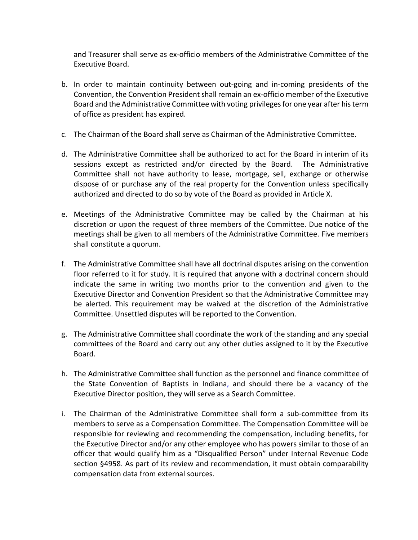and Treasurer shall serve as ex-officio members of the Administrative Committee of the Executive Board.

- b. In order to maintain continuity between out-going and in-coming presidents of the Convention, the Convention President shall remain an ex-officio member of the Executive Board and the Administrative Committee with voting privileges for one year after his term of office as president has expired.
- c. The Chairman of the Board shall serve as Chairman of the Administrative Committee.
- d. The Administrative Committee shall be authorized to act for the Board in interim of its sessions except as restricted and/or directed by the Board. The Administrative Committee shall not have authority to lease, mortgage, sell, exchange or otherwise dispose of or purchase any of the real property for the Convention unless specifically authorized and directed to do so by vote of the Board as provided in Article X.
- e. Meetings of the Administrative Committee may be called by the Chairman at his discretion or upon the request of three members of the Committee. Due notice of the meetings shall be given to all members of the Administrative Committee. Five members shall constitute a quorum.
- f. The Administrative Committee shall have all doctrinal disputes arising on the convention floor referred to it for study. It is required that anyone with a doctrinal concern should indicate the same in writing two months prior to the convention and given to the Executive Director and Convention President so that the Administrative Committee may be alerted. This requirement may be waived at the discretion of the Administrative Committee. Unsettled disputes will be reported to the Convention.
- g. The Administrative Committee shall coordinate the work of the standing and any special committees of the Board and carry out any other duties assigned to it by the Executive Board.
- h. The Administrative Committee shall function as the personnel and finance committee of the State Convention of Baptists in Indiana, and should there be a vacancy of the Executive Director position, they will serve as a Search Committee.
- i. The Chairman of the Administrative Committee shall form a sub-committee from its members to serve as a Compensation Committee. The Compensation Committee will be responsible for reviewing and recommending the compensation, including benefits, for the Executive Director and/or any other employee who has powers similar to those of an officer that would qualify him as a "Disqualified Person" under Internal Revenue Code section §4958. As part of its review and recommendation, it must obtain comparability compensation data from external sources.